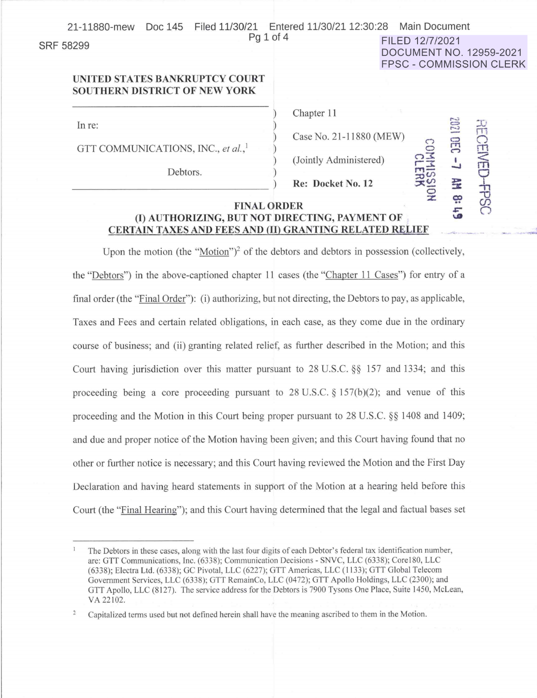| Doc 145<br>21-11880-mew                                                | Filed 11/30/21 Entered 11/30/21 12:30:28 Main Document |                     |                                                                  |  |
|------------------------------------------------------------------------|--------------------------------------------------------|---------------------|------------------------------------------------------------------|--|
| Pq 1 of 4<br><b>SRF 58299</b>                                          |                                                        | FILED 12/7/2021     | <b>DOCUMENT NO. 12959-2021</b><br><b>FPSC - COMMISSION CLERK</b> |  |
| UNITED STATES BANKRUPTCY COURT<br><b>SOUTHERN DISTRICT OF NEW YORK</b> |                                                        |                     |                                                                  |  |
| In re:                                                                 | Chapter 11                                             |                     | 1202<br>品                                                        |  |
| GTT COMMUNICATIONS, INC., et al., <sup>1</sup>                         | Case No. 21-11880 (MEW)                                |                     | <b>CENEI</b><br>CEC                                              |  |
| Debtors.                                                               | (Jointly Administered)<br>Re: Docket No. 12            | COMMISSION<br>CLERK | $\overline{L}$<br>全                                              |  |
| <b>FINAL ORDER</b><br>(I) AUTHORIZING, BUT NOT DIRECTING, PAYMENT OF   |                                                        |                     | <b>CSdt</b><br>ë<br>$\overline{5}$                               |  |

Upon the motion (the "Motion")<sup>2</sup> of the debtors and debtors in possession (collectively, the "Debtors") in the above-captioned chapter 11 cases (the "Chapter 11 Cases") for entry of a final order (the "Final Order"): (i) authorizing, but not directing, the Debtors to pay, as applicable, Taxes and Fees and certain related obligations, in each case, as they come due in the ordinary course of business; and (ii) granting related relief, as further described in the Motion; and this Court having jurisdiction over this matter pursuant to  $28$  U.S.C.  $\S$ § 157 and 1334; and this proceeding being a core proceeding pursuant to 28 U.S.C.  $\S$  157(b)(2); and venue of this proceeding and the Motion in this Court being proper pursuant to 28 U.S.C. §§ 1408 and 1409; and due and proper notice of the Motion having been given; and this Court having found that no other or further notice is necessary; and this Court having reviewed the Motion and the First Day Declaration and having heard statements in support of the Motion at a hearing held before this Court (the "Final Hearing"); and this Court having determined that the legal and factual bases set

**CERTAIN TAXES AND FEES AND (II) GRANTING RELATED RELIEF** 

--

The Debtors in these cases, along with the last four digits of each Debtor's federal tax identification number, are: GTT Communications, Inc. (6338); Communication Decisions - SNVC, LLC (6338); Core 180, LLC (6338); Electra Ltd. (6338); GC Pivotal, LLC (6227); GTT Americas, LLC ( 11 33); GTT Global Telecom Government Services, LLC (6338); GTT RemainCo, LLC (0472); GTT Apollo Holdings, LLC (2300); and GTT Apollo, LLC (8127). The service address for the Debtors is 7900 Tysons One Place, Suite 1450, McLean, VA 22102.

 $\overline{2}$ Capitalized terms used but not defined herein shall have the meaning ascribed to them in the Motion.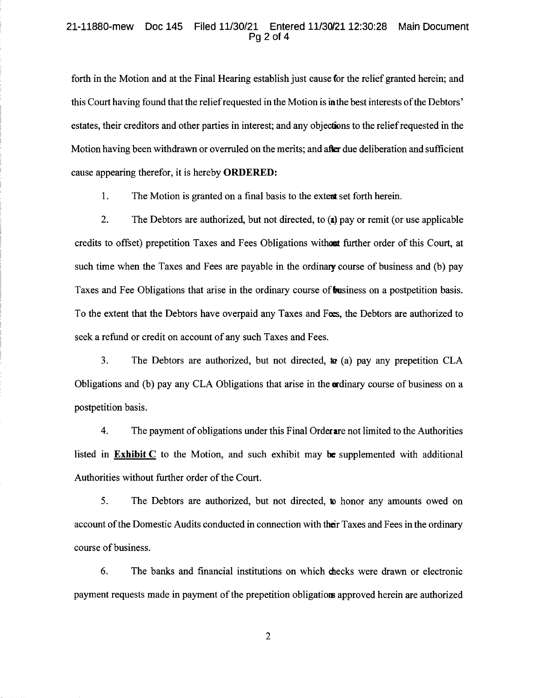## 21-11880-mew Doc 145 Filed 11/30/21 Entered 11/30/21 12:30:28 Main Document Pg 2 of 4

forth in the Motion and at the Final Hearing establish just cause for the relief granted herein; and this Court having found that the relief requested in the Motion is in the best interests of the Debtors' estates, their creditors and other parties in interest; and any objections to the reliefrequested in the Motion having been withdrawn or overruled on the merits; and after due deliberation and sufficient cause appearing therefor, it is hereby **ORDERED:** 

1. The Motion is granted on a final basis to the **extem:** set forth herein.

2. The Debtors are authorized, but not directed, to **(a)** pay or remit (or use applicable credits to offset) prepetition Taxes and Fees Obligations **withom** further order of this Court, at such time when the Taxes and Fees are payable in the ordinary course of business and (b) pay Taxes and Fee Obligations that arise in the ordinary course of **business** on a postpetition basis. To the extent that the Debtors have overpaid any Taxes and Fees, the Debtors are authorized to seek a refund or credit on account of any such Taxes and Fees.

3. The Debtors are authorized, but not directed,  $\boldsymbol{r}$  as any prepetition CLA Obligations and (b) pay any CLA Obligations that arise in the **ardinary** course of business on a postpetition basis.

4. The payment of obligations under this Final Orderare not limited to the Authorities listed in **Exhibit C** to the Motion, and such exhibit may **be** supplemented with additional Authorities without further order of the Court.

5. The Debtors are authorized, but not directed, **to** honor any amounts owed on account of the Domestic Audits conducted in connection with their Taxes and Fees in the ordinary course of business.

6. The banks and financial institutions on which checks were drawn or electronic payment requests made in payment of the prepetition obligation; approved herein are authorized

2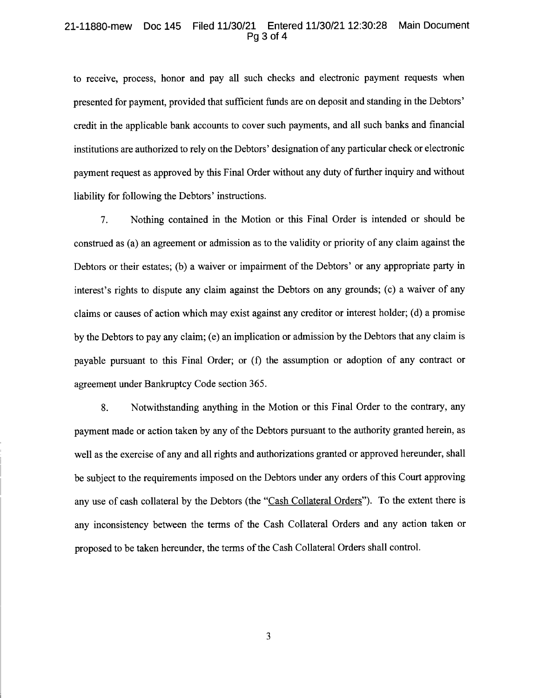## 21-11880-mew Doc 145 Filed 11/30/21 Entered 11/30/2112:30:28 Main Document Pg 3 of 4

to receive, process, honor and pay all such checks and electronic payment requests when presented for payment, provided that sufficient funds are on deposit and standing in the Debtors' credit in the applicable bank accounts to cover such payments, and all such banks and financial institutions are authorized to rely on the Debtors' designation of any particular check or electronic payment request as approved by this Final Order without any duty of further inquiry and without liability for following the Debtors' instructions.

7. Nothing contained in the Motion or this Final Order is intended or should be construed as (a) an agreement or admission as to the validity or priority of any claim against the Debtors or their estates; (b) a waiver or impairment of the Debtors' or any appropriate party in interest's rights to dispute any claim against the Debtors on any grounds; (c) a waiver of any claims or causes of action which may exist against any creditor or interest holder; (d) a promise by the Debtors to pay any claim; ( e) an implication or admission by the Debtors that any claim is payable pursuant to this Final Order; or (f) the assumption or adoption of any contract or agreement under Bankruptcy Code section 365.

8. Notwithstanding anything in the Motion or this Final Order to the contrary, any payment made or action taken by any of the Debtors pursuant to the authority granted herein, as well as the exercise of any and all rights and authorizations granted or approved hereunder, shall be subject to the requirements imposed on the Debtors under any orders of this Court approving any use of cash collateral by the Debtors (the "Cash Collateral Orders"). To the extent there is any inconsistency between the terms of the Cash Collateral Orders and any action taken or proposed to be taken hereunder, the terms of the Cash Collateral Orders shall control.

3